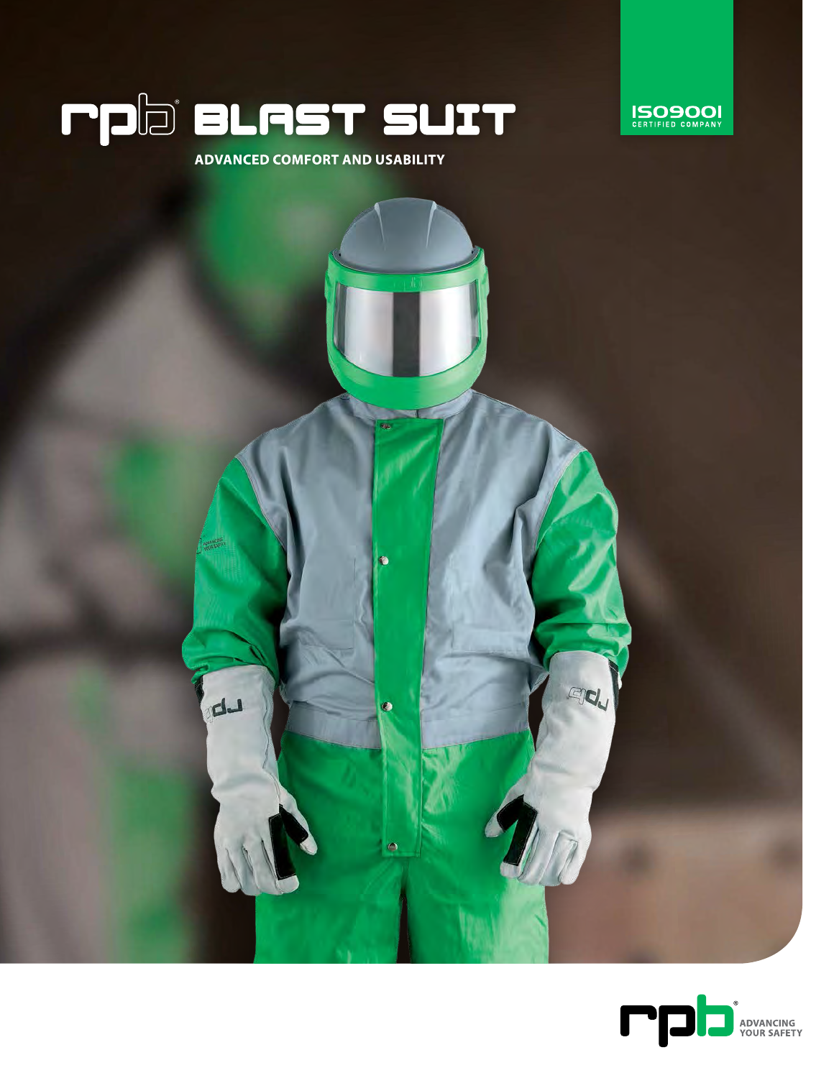





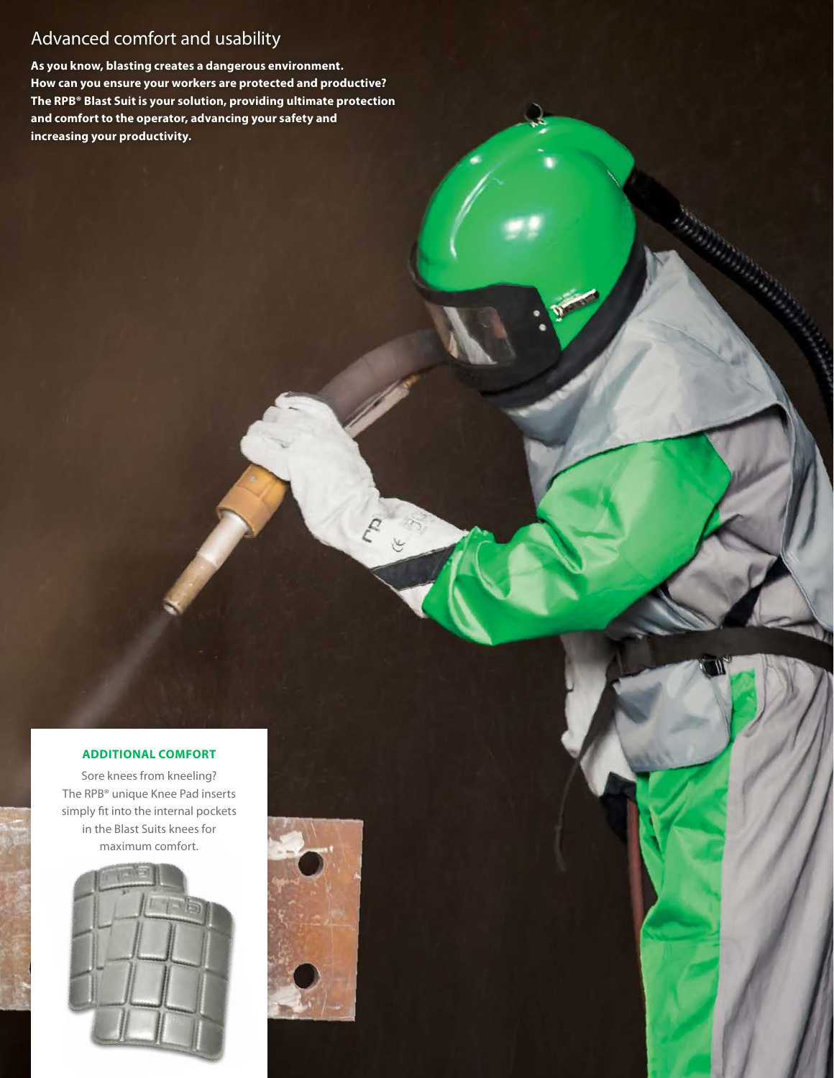# Advanced comfort and usability

**As you know, blasting creates a dangerous environment. How can you ensure your workers are protected and productive? The RPB® Blast Suit is your solution, providing ultimate protection and comfort to the operator, advancing your safety and increasing your productivity.**

#### **ADDITIONAL COMFORT**

Sore knees from kneeling? The RPB® unique Knee Pad inserts simply fit into the internal pockets in the Blast Suits knees for maximum comfort.



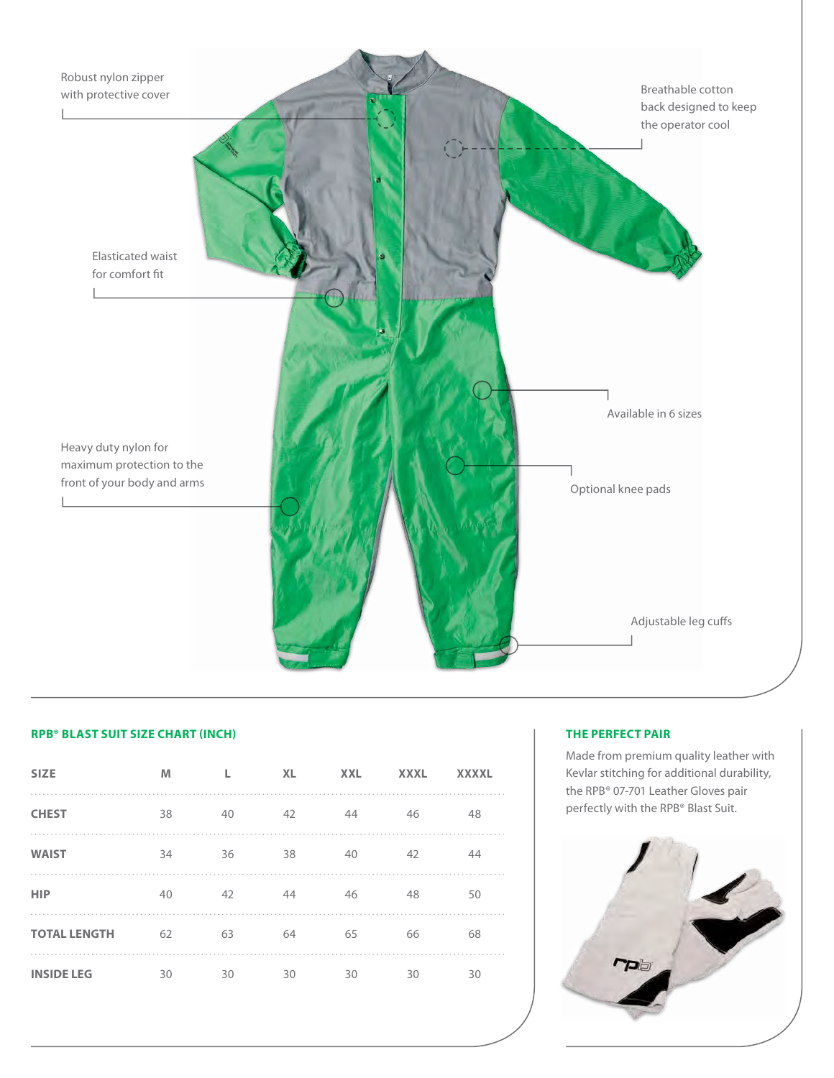

## **RPB® BLAST SUIT SIZE CHART (INCH)**

| <b>SIZE</b>         | M  |    | <b>XL</b> | <b>XXL</b> | <b>XXXL</b> | <b>XXXXL</b> |
|---------------------|----|----|-----------|------------|-------------|--------------|
| <b>CHEST</b>        | 38 | 40 | 42        | 44         | 46          | 48           |
| <b>WAIST</b>        | 34 | 36 | 38        | 40         | 42          | 44           |
| <b>HIP</b>          | 40 | 42 | 44        | 46         | 48          | 50           |
| <b>TOTAL LENGTH</b> | 62 | 63 | 64        | 65         | 66          | 68           |
| <b>INSIDE LEG</b>   | 30 | 30 | 30        | 30         | 30          | 30           |

## **THE PERFECT PAIR**

Made from premium quality leather with Kevlar stitching for additional durability, the RPB® 07-701 Leather Gloves pair perfectly with the RPB® Blast Suit.